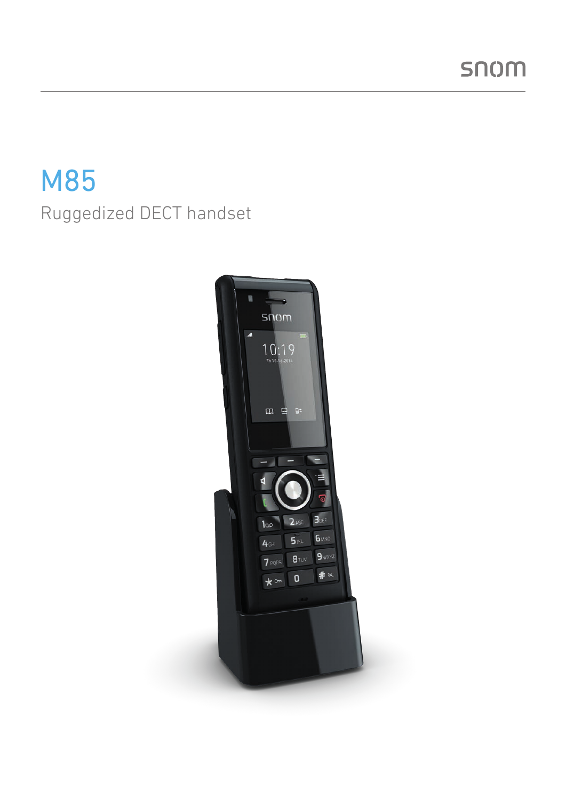# M85 Ruggedized DECT handset

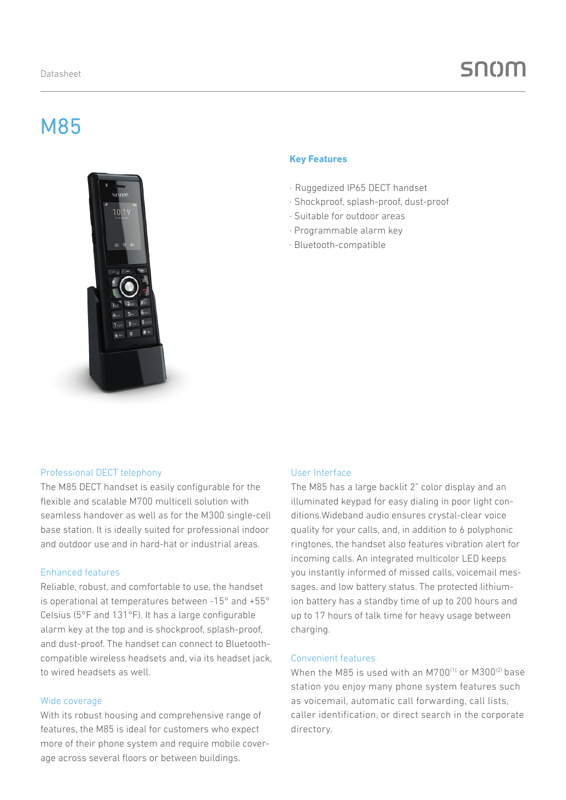# M85



#### **Key Features**

- · Ruggedized IP65 DECT handset
- · Shockproof, splash-proof, dust-proof
- · Suitable for outdoor areas
- · Programmable alarm key
- · Bluetooth-compatible

## Professional DECT telephony

The M85 DECT handset is easily configurable for the flexible and scalable M700 multicell solution with seamless handover as well as for the M300 single-cell base station. It is ideally suited for professional indoor and outdoor use and in hard-hat or industrial areas.

#### Enhanced features

Reliable, robust, and comfortable to use, the handset is operational at temperatures between -15° and +55° Celsius (5°F and 131°F). It has a large configurable alarm key at the top and is shockproof, splash-proof, and dust-proof. The handset can connect to Bluetoothcompatible wireless headsets and, via its headset jack, to wired headsets as well.

#### Wide coverage

With its robust housing and comprehensive range of features, the M85 is ideal for customers who expect more of their phone system and require mobile coverage across several floors or between buildings.

#### User Interface

The M85 has a large backlit 2" color display and an illuminated keypad for easy dialing in poor light conditions.Wideband audio ensures crystal-clear voice quality for your calls, and, in addition to 6 polyphonic ringtones, the handset also features vibration alert for incoming calls. An integrated multicolor LED keeps you instantly informed of missed calls, voicemail messages, and low battery status. The protected lithiumion battery has a standby time of up to 200 hours and up to 17 hours of talk time for heavy usage between charging.

#### Convenient features

When the M85 is used with an M700 $^{(1)}$  or M300 $^{(2)}$  base station you enjoy many phone system features such as voicemail, automatic call forwarding, call lists, caller identification, or direct search in the corporate directory.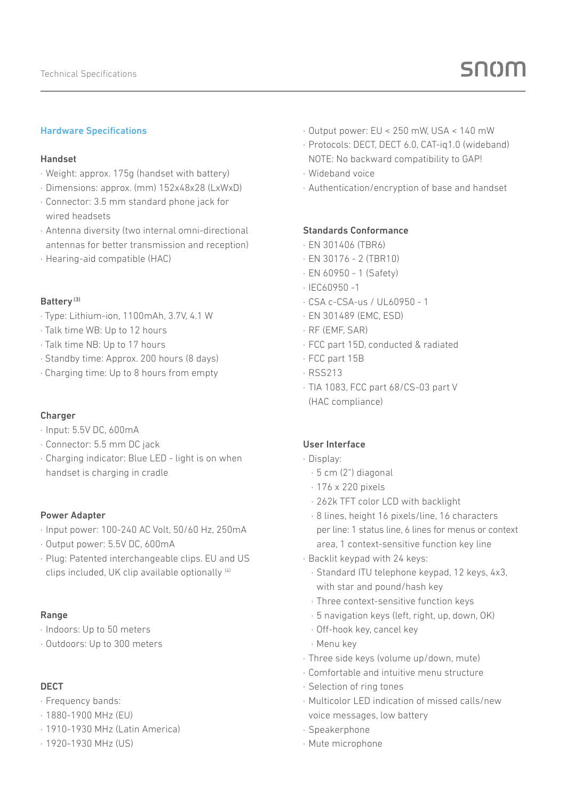# Hardware Specifications

#### Handset

- · Weight: approx. 175g (handset with battery)
- · Dimensions: approx. (mm) 152x48x28 (LxWxD)
- · Connector: 3.5 mm standard phone jack for wired headsets
- · Antenna diversity (two internal omni-directional antennas for better transmission and reception)
- · Hearing-aid compatible (HAC)

#### Battery (3)

- · Type: Lithium-ion, 1100mAh, 3.7V, 4.1 W
- · Talk time WB: Up to 12 hours
- · Talk time NB: Up to 17 hours
- · Standby time: Approx. 200 hours (8 days)
- · Charging time: Up to 8 hours from empty

#### Charger

- · Input: 5.5V DC, 600mA
- · Connector: 5.5 mm DC jack
- · Charging indicator: Blue LED light is on when handset is charging in cradle

#### Power Adapter

- · Input power: 100-240 AC Volt, 50/60 Hz, 250mA
- · Output power: 5.5V DC, 600mA
- · Plug: Patented interchangeable clips. EU and US clips included, UK clip available optionally (4)

#### Range

- · Indoors: Up to 50 meters
- · Outdoors: Up to 300 meters

#### DECT

- · Frequency bands:
- · 1880-1900 MHz (EU)
- · 1910-1930 MHz (Latin America)
- · 1920-1930 MHz (US)
- · Output power: EU < 250 mW, USA < 140 mW
- · Protocols: DECT, DECT 6.0, CAT-iq1.0 (wideband) NOTE: No backward compatibility to GAP!
- · Wideband voice
- · Authentication/encryption of base and handset

#### Standards Conformance

- · EN 301406 (TBR6)
- · EN 30176 2 (TBR10)
- · EN 60950 1 (Safety)
- · IEC60950 -1
- · CSA c-CSA-us / UL60950 1
- · EN 301489 (EMC, ESD)
- · RF (EMF, SAR)
- · FCC part 15D, conducted & radiated
- · FCC part 15B
- · RSS213
- · TIA 1083, FCC part 68/CS-03 part V (HAC compliance)

# User Interface

- · Display:
	- · 5 cm (2") diagonal
	- · 176 x 220 pixels
	- · 262k TFT color LCD with backlight
	- · 8 lines, height 16 pixels/line, 16 characters per line: 1 status line, 6 lines for menus or context area, 1 context-sensitive function key line
- · Backlit keypad with 24 keys:
	- · Standard ITU telephone keypad, 12 keys, 4x3, with star and pound/hash key
	- · Three context-sensitive function keys
	- · 5 navigation keys (left, right, up, down, OK)
	- · Off-hook key, cancel key
	- · Menu key
- · Three side keys (volume up/down, mute)
- · Comfortable and intuitive menu structure
- · Selection of ring tones
- · Multicolor LED indication of missed calls/new voice messages, low battery
- · Speakerphone
- · Mute microphone